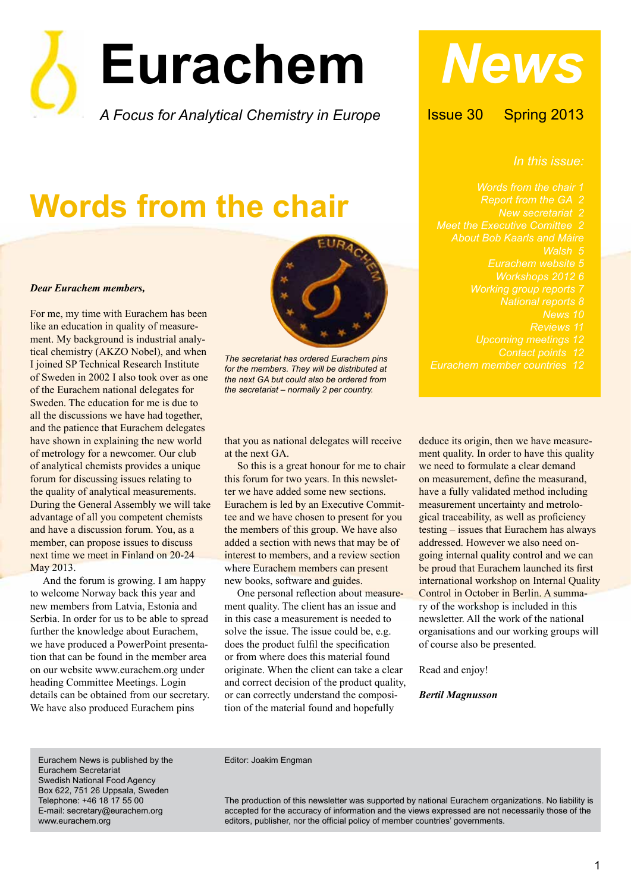

# **Words from the chair**

#### *Dear Eurachem members,*

For me, my time with Eurachem has been like an education in quality of measurement. My background is industrial analytical chemistry (AKZO Nobel), and when I joined SP Technical Research Institute of Sweden in 2002 I also took over as one of the Eurachem national delegates for Sweden. The education for me is due to all the discussions we have had together, and the patience that Eurachem delegates have shown in explaining the new world of metrology for a newcomer. Our club of analytical chemists provides a unique forum for discussing issues relating to the quality of analytical measurements. During the General Assembly we will take advantage of all you competent chemists and have a discussion forum. You, as a member, can propose issues to discuss next time we meet in Finland on 20-24 May 2013.

And the forum is growing. I am happy to welcome Norway back this year and new members from Latvia, Estonia and Serbia. In order for us to be able to spread further the knowledge about Eurachem, we have produced a PowerPoint presentation that can be found in the member area on our website www.eurachem.org under heading Committee Meetings. Login details can be obtained from our secretary. We have also produced Eurachem pins



*The secretariat has ordered Eurachem pins for the members. They will be distributed at the next GA but could also be ordered from the secretariat – normally 2 per country.*

that you as national delegates will receive at the next GA.

So this is a great honour for me to chair this forum for two years. In this newsletter we have added some new sections. Eurachem is led by an Executive Committee and we have chosen to present for you the members of this group. We have also added a section with news that may be of interest to members, and a review section where Eurachem members can present new books, software and guides.

 One personal reflection about measurement quality. The client has an issue and in this case a measurement is needed to solve the issue. The issue could be, e.g. does the product fulfil the specification or from where does this material found originate. When the client can take a clear and correct decision of the product quality, or can correctly understand the composition of the material found and hopefully

*News*

Issue 30 Spring 2013

*In this issue:*

*Words from the chair 1 Report from the GA 2 New secretariat 2 Meet the Executive Comittee 2 About Bob Kaarls and Máire Walsh 5 Eurachem website 5 Workshops 2012 6 Working group reports 7 Eurachem member countries 12*

deduce its origin, then we have measurement quality. In order to have this quality we need to formulate a clear demand on measurement, define the measurand, have a fully validated method including measurement uncertainty and metrological traceability, as well as proficiency testing – issues that Eurachem has always addressed. However we also need ongoing internal quality control and we can be proud that Eurachem launched its first international workshop on Internal Quality Control in October in Berlin. A summary of the workshop is included in this newsletter. All the work of the national organisations and our working groups will of course also be presented.

Read and enjoy!

#### *Bertil Magnusson*

Eurachem News is published by the Eurachem Secretariat Swedish National Food Agency Box 622, 751 26 Uppsala, Sweden Telephone: +46 18 17 55 00 E-mail: secretary@eurachem.org www.eurachem.org

Editor: Joakim Engman

The production of this newsletter was supported by national Eurachem organizations. No liability is accepted for the accuracy of information and the views expressed are not necessarily those of the editors, publisher, nor the official policy of member countries' governments.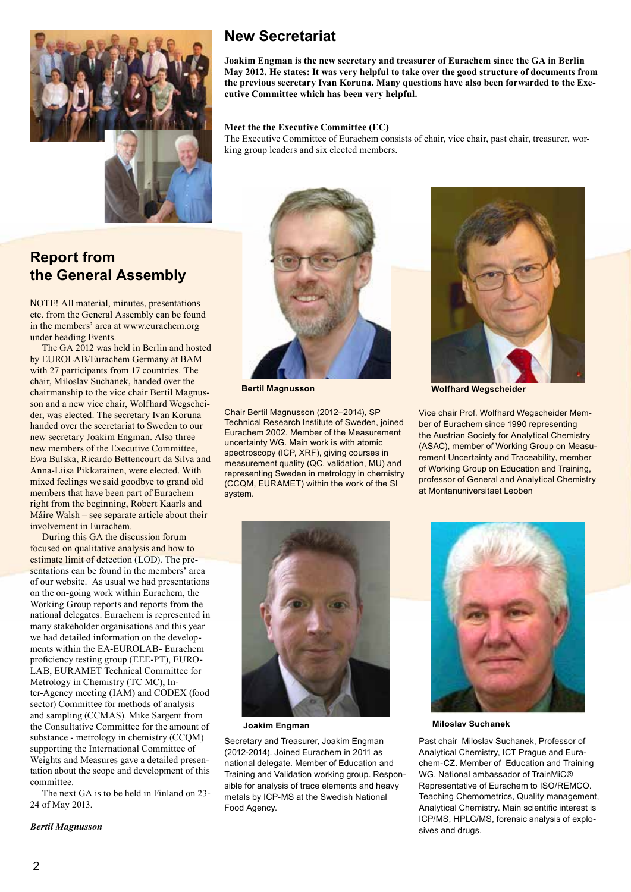

#### **Report from the General Assembly**

NOTE! All material, minutes, presentations etc. from the General Assembly can be found in the members' area at www.eurachem.org under heading Events.

The GA 2012 was held in Berlin and hosted by EUROLAB/Eurachem Germany at BAM with 27 participants from 17 countries. The chair, Miloslav Suchanek, handed over the chairmanship to the vice chair Bertil Magnusson and a new vice chair, Wolfhard Wegscheider, was elected. The secretary Ivan Koruna handed over the secretariat to Sweden to our new secretary Joakim Engman. Also three new members of the Executive Committee, Ewa Bulska, Ricardo Bettencourt da Silva and Anna-Liisa Pikkarainen, were elected. With mixed feelings we said goodbye to grand old members that have been part of Eurachem right from the beginning, Robert Kaarls and Máire Walsh – see separate article about their involvement in Eurachem.

During this GA the discussion forum focused on qualitative analysis and how to estimate limit of detection (LOD). The presentations can be found in the members' area of our website. As usual we had presentations on the on-going work within Eurachem, the Working Group reports and reports from the national delegates. Eurachem is represented in many stakeholder organisations and this year we had detailed information on the developments within the EA-EUROLAB- Eurachem proficiency testing group (EEE-PT), EURO-LAB, EURAMET Technical Committee for Metrology in Chemistry (TC MC), Inter-Agency meeting (IAM) and CODEX (food sector) Committee for methods of analysis and sampling (CCMAS). Mike Sargent from the Consultative Committee for the amount of substance - metrology in chemistry (CCQM) supporting the International Committee of Weights and Measures gave a detailed presentation about the scope and development of this committee.

The next GA is to be held in Finland on 23- 24 of May 2013.

#### **New Secretariat**

**Joakim Engman is the new secretary and treasurer of Eurachem since the GA in Berlin May 2012. He states: It was very helpful to take over the good structure of documents from the previous secretary Ivan Koruna. Many questions have also been forwarded to the Executive Committee which has been very helpful.** 

#### **Meet the the Executive Committee (EC)**

The Executive Committee of Eurachem consists of chair, vice chair, past chair, treasurer, working group leaders and six elected members.



Chair Bertil Magnusson (2012–2014), SP Technical Research Institute of Sweden, joined Eurachem 2002. Member of the Measurement uncertainty WG. Main work is with atomic spectroscopy (ICP, XRF), giving courses in measurement quality (QC, validation, MU) and representing Sweden in metrology in chemistry (CCQM, EURAMET) within the work of the SI system.



**Bertil Magnusson Wolfhard Wegscheider** 

Vice chair Prof. Wolfhard Wegscheider Member of Eurachem since 1990 representing the Austrian Society for Analytical Chemistry (ASAC), member of Working Group on Measurement Uncertainty and Traceability, member of Working Group on Education and Training, professor of General and Analytical Chemistry at Montanuniversitaet Leoben



Secretary and Treasurer, Joakim Engman (2012-2014). Joined Eurachem in 2011 as national delegate. Member of Education and Training and Validation working group. Responsible for analysis of trace elements and heavy metals by ICP-MS at the Swedish National Food Agency.



**Joakim Engman Miloslav Suchanek**

Past chair Miloslav Suchanek, Professor of Analytical Chemistry, ICT Prague and Eurachem-CZ. Member of Education and Training WG, National ambassador of TrainMiC® Representative of Eurachem to ISO/REMCO. Teaching Chemometrics, Quality management, Analytical Chemistry. Main scientific interest is ICP/MS, HPLC/MS, forensic analysis of explosives and drugs.

#### *Bertil Magnusson*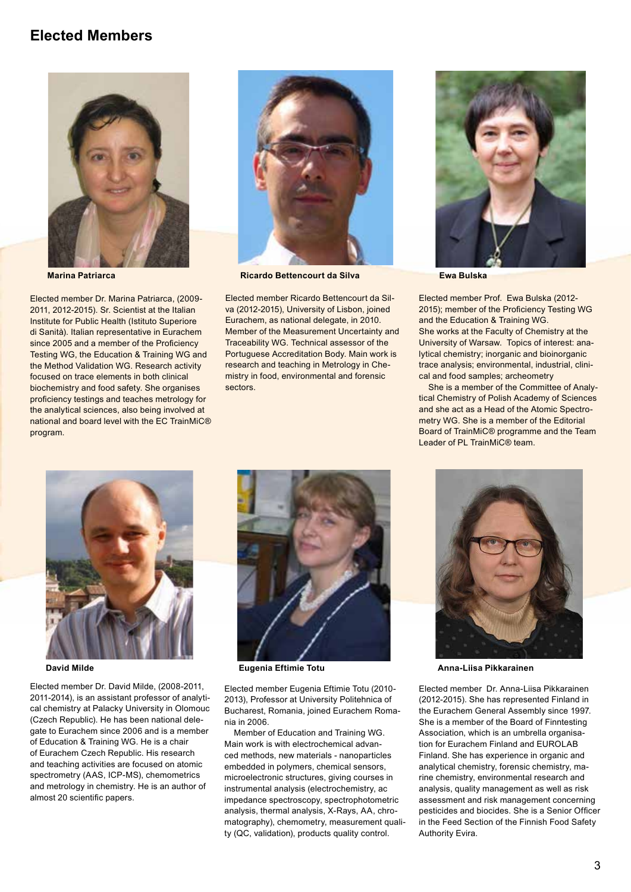#### **Elected Members**



Elected member Dr. Marina Patriarca, (2009- 2011, 2012-2015). Sr. Scientist at the Italian Institute for Public Health (Istituto Superiore di Sanità). Italian representative in Eurachem since 2005 and a member of the Proficiency Testing WG, the Education & Training WG and the Method Validation WG. Research activity focused on trace elements in both clinical biochemistry and food safety. She organises proficiency testings and teaches metrology for the analytical sciences, also being involved at national and board level with the EC TrainMiC® program.



**Marina Patriarca Ricardo Bettencourt da Silva Ewa Bulska**

Elected member Ricardo Bettencourt da Silva (2012-2015), University of Lisbon, joined Eurachem, as national delegate, in 2010. Member of the Measurement Uncertainty and Traceability WG. Technical assessor of the Portuguese Accreditation Body. Main work is research and teaching in Metrology in Chemistry in food, environmental and forensic sectors.



Elected member Prof. Ewa Bulska (2012- 2015); member of the Proficiency Testing WG and the Education & Training WG. She works at the Faculty of Chemistry at the University of Warsaw. Topics of interest: analytical chemistry; inorganic and bioinorganic trace analysis; environmental, industrial, clinical and food samples; archeometry

 She is a member of the Committee of Analytical Chemistry of Polish Academy of Sciences and she act as a Head of the Atomic Spectrometry WG. She is a member of the Editorial Board of TrainMiC® programme and the Team Leader of PL TrainMiC® team.



Elected member Dr. David Milde, (2008-2011, 2011-2014), is an assistant professor of analytical chemistry at Palacky University in Olomouc (Czech Republic). He has been national delegate to Eurachem since 2006 and is a member of Education & Training WG. He is a chair of Eurachem Czech Republic. His research and teaching activities are focused on atomic spectrometry (AAS, ICP-MS), chemometrics and metrology in chemistry. He is an author of almost 20 scientific papers.



Elected member Eugenia Eftimie Totu (2010- 2013), Professor at University Politehnica of Bucharest, Romania, joined Eurachem Romania in 2006.

 Member of Education and Training WG. Main work is with electrochemical advanced methods, new materials - nanoparticles embedded in polymers, chemical sensors, microelectronic structures, giving courses in instrumental analysis (electrochemistry, ac impedance spectroscopy, spectrophotometric analysis, thermal analysis, X-Rays, AA, chromatography), chemometry, measurement quality (QC, validation), products quality control.



**David Milde Eugenia Eftimie Totu Anna-Liisa Pikkarainen**

Elected member Dr. Anna-Liisa Pikkarainen (2012-2015). She has represented Finland in the Eurachem General Assembly since 1997. She is a member of the Board of Finntesting Association, which is an umbrella organisation for Eurachem Finland and EUROLAB Finland. She has experience in organic and analytical chemistry, forensic chemistry, marine chemistry, environmental research and analysis, quality management as well as risk assessment and risk management concerning pesticides and biocides. She is a Senior Officer in the Feed Section of the Finnish Food Safety Authority Evira.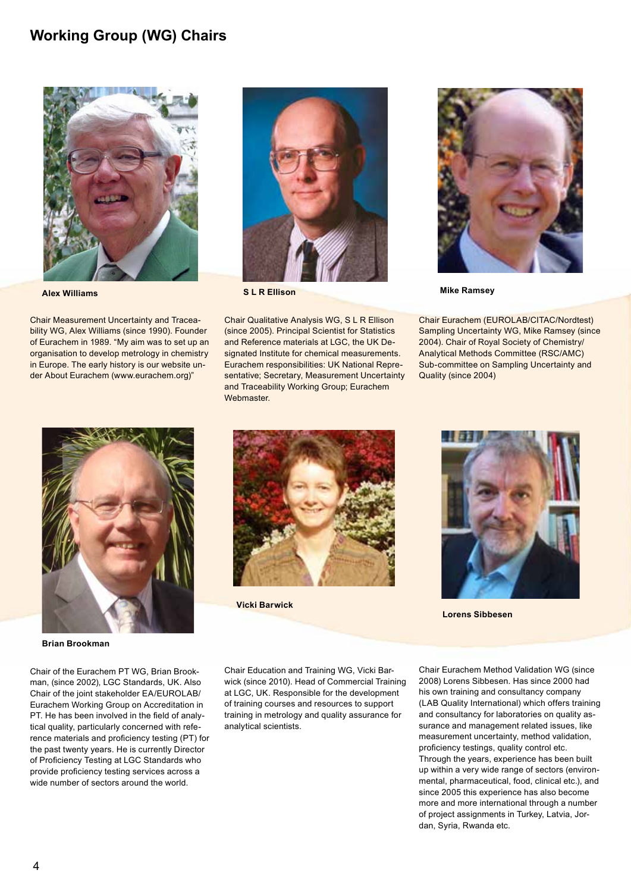#### **Working Group (WG) Chairs**



Chair Measurement Uncertainty and Traceability WG, Alex Williams (since 1990). Founder of Eurachem in 1989. "My aim was to set up an organisation to develop metrology in chemistry in Europe. The early history is our website under About Eurachem (www.eurachem.org)"



Chair Qualitative Analysis WG, S L R Ellison (since 2005). Principal Scientist for Statistics and Reference materials at LGC, the UK Designated Institute for chemical measurements. Eurachem responsibilities: UK National Representative; Secretary, Measurement Uncertainty and Traceability Working Group; Eurachem Webmaster.



Chair Eurachem (EUROLAB/CITAC/Nordtest) Sampling Uncertainty WG, Mike Ramsey (since 2004). Chair of Royal Society of Chemistry/ Analytical Methods Committee (RSC/AMC) Sub-committee on Sampling Uncertainty and Quality (since 2004)



**Brian Brookman**

Chair of the Eurachem PT WG, Brian Brookman, (since 2002), LGC Standards, UK. Also Chair of the joint stakeholder EA/EUROLAB/ Eurachem Working Group on Accreditation in PT. He has been involved in the field of analytical quality, particularly concerned with reference materials and proficiency testing (PT) for the past twenty years. He is currently Director of Proficiency Testing at LGC Standards who provide proficiency testing services across a wide number of sectors around the world.



**Vicki Barwick**



**Lorens Sibbesen**

Chair Education and Training WG, Vicki Barwick (since 2010). Head of Commercial Training at LGC, UK. Responsible for the development of training courses and resources to support training in metrology and quality assurance for analytical scientists.

Chair Eurachem Method Validation WG (since 2008) Lorens Sibbesen. Has since 2000 had his own training and consultancy company (LAB Quality International) which offers training and consultancy for laboratories on quality assurance and management related issues, like measurement uncertainty, method validation, proficiency testings, quality control etc. Through the years, experience has been built up within a very wide range of sectors (environmental, pharmaceutical, food, clinical etc.), and since 2005 this experience has also become more and more international through a number of project assignments in Turkey, Latvia, Jordan, Syria, Rwanda etc.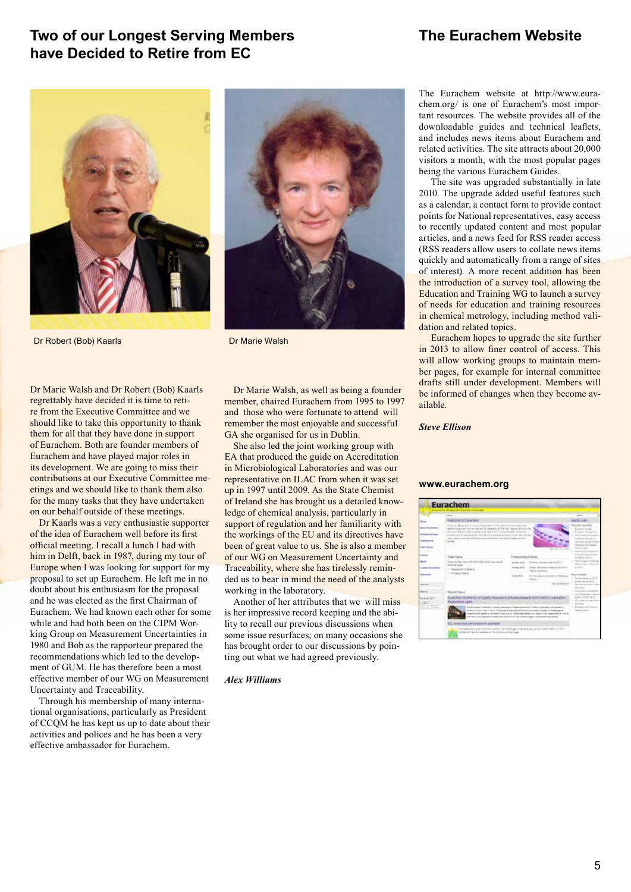#### **Two of our Longest Serving Members have Decided to Retire from EC**

#### **The Eurachem Website**



Dr Robert (Bob) Kaarls Dr Marie Walsh

Dr Marie Walsh and Dr Robert (Bob) Kaarls regrettably have decided it is time to retire from the Executive Committee and we should like to take this opportunity to thank them for all that they have done in support of Eurachem. Both are founder members of Eurachem and have played major roles in its development. We are going to miss their contributions at our Executive Committee meetings and we should like to thank them also for the many tasks that they have undertaken on our behalf outside of these meetings.

Dr Kaarls was a very enthusiastic supporter of the idea of Eurachem well before its first official meeting. I recall a lunch I had with him in Delft, back in 1987, during my tour of Europe when I was looking for support for my proposal to set up Eurachem. He left me in no doubt about his enthusiasm for the proposal and he was elected as the first Chairman of Eurachem. We had known each other for some while and had both been on the CIPM Working Group on Measurement Uncertainties in 1980 and Bob as the rapporteur prepared the recommendations which led to the development of GUM. He has therefore been a most effective member of our WG on Measurement Uncertainty and Traceability.

Through his membership of many international organisations, particularly as President of CCQM he has kept us up to date about their activities and polices and he has been a very effective ambassador for Eurachem.



Dr Marie Walsh, as well as being a founder member, chaired Eurachem from 1995 to 1997 and those who were fortunate to attend will remember the most enjoyable and successful GA she organised for us in Dublin.

She also led the joint working group with EA that produced the guide on Accreditation in Microbiological Laboratories and was our representative on ILAC from when it was set up in 1997 until 2009. As the State Chemist of Ireland she has brought us a detailed knowledge of chemical analysis, particularly in support of regulation and her familiarity with the workings of the EU and its directives have been of great value to us. She is also a member of our WG on Measurement Uncertainty and Traceability, where she has tirelessly reminded us to bear in mind the need of the analysts working in the laboratory.

Another of her attributes that we will miss is her impressive record keeping and the ability to recall our previous discussions when some issue resurfaces; on many occasions she has brought order to our discussions by pointing out what we had agreed previously.

#### *Alex Williams*

The Eurachem website at http://www.eurachem.org/ is one of Eurachem's most important resources. The website provides all of the downloadable guides and technical leaflets, and includes news items about Eurachem and related activities. The site attracts about 20,000 visitors a month, with the most popular pages being the various Eurachem Guides.

The site was upgraded substantially in late 2010. The upgrade added useful features such as a calendar, a contact form to provide contact points for National representatives, easy access to recently updated content and most popular articles, and a news feed for RSS reader access (RSS readers allow users to collate news items quickly and automatically from a range of sites of interest). A more recent addition has been the introduction of a survey tool, allowing the Education and Training WG to launch a survey of needs for education and training resources in chemical metrology, including method validation and related topics.

Eurachem hopes to upgrade the site further in 2013 to allow finer control of access. This will allow working groups to maintain member pages, for example for internal committee drafts still under development. Members will be informed of changes when they become available.

#### *Steve Ellison*

#### **www.eurachem.org**

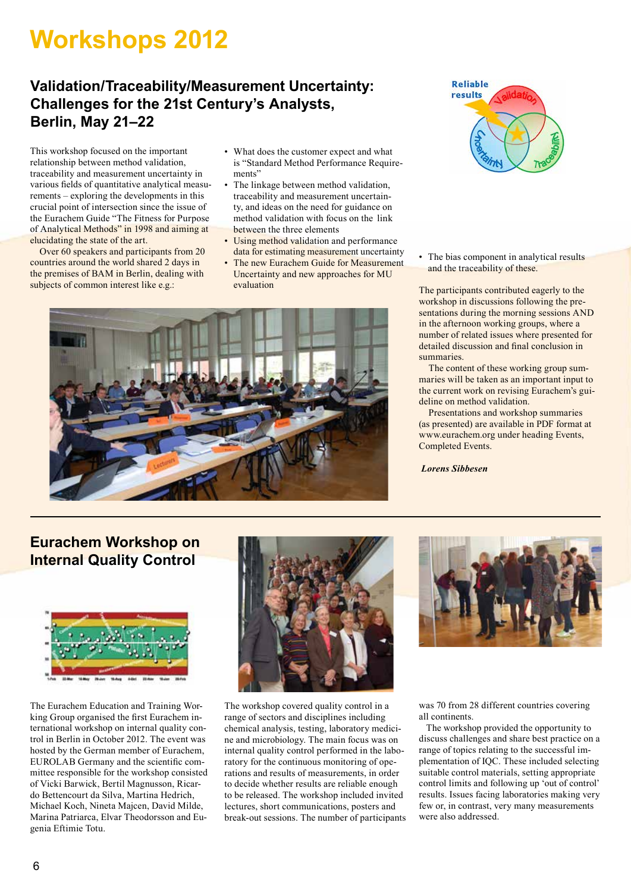## **Workshops 2012**

### **Validation/Traceability/Measurement Uncertainty: Challenges for the 21st Century's Analysts, Berlin, May 21–22**

This workshop focused on the important relationship between method validation, traceability and measurement uncertainty in various fields of quantitative analytical measurements – exploring the developments in this crucial point of intersection since the issue of the Eurachem Guide "The Fitness for Purpose of Analytical Methods" in 1998 and aiming at elucidating the state of the art.

 Over 60 speakers and participants from 20 countries around the world shared 2 days in the premises of BAM in Berlin, dealing with subjects of common interest like e.g.:

- What does the customer expect and what is "Standard Method Performance Requirements'
- The linkage between method validation, traceability and measurement uncertainty, and ideas on the need for guidance on method validation with focus on the link between the three elements
- Using method validation and performance data for estimating measurement uncertainty
- The new Eurachem Guide for Measurement Uncertainty and new approaches for MU evaluation





• The bias component in analytical results and the traceability of these.

The participants contributed eagerly to the workshop in discussions following the presentations during the morning sessions AND in the afternoon working groups, where a number of related issues where presented for detailed discussion and final conclusion in summaries.

 The content of these working group summaries will be taken as an important input to the current work on revising Eurachem's guideline on method validation.

 Presentations and workshop summaries (as presented) are available in PDF format at www.eurachem.org under heading Events, Completed Events.

 *Lorens Sibbesen*

### **Eurachem Workshop on Internal Quality Control**



The Eurachem Education and Training Working Group organised the first Eurachem international workshop on internal quality control in Berlin in October 2012. The event was hosted by the German member of Eurachem, EUROLAB Germany and the scientific committee responsible for the workshop consisted of Vicki Barwick, Bertil Magnusson, Ricardo Bettencourt da Silva, Martina Hedrich, Michael Koch, Nineta Majcen, David Milde, Marina Patriarca, Elvar Theodorsson and Eugenia Eftimie Totu.



The workshop covered quality control in a range of sectors and disciplines including chemical analysis, testing, laboratory medicine and microbiology. The main focus was on internal quality control performed in the laboratory for the continuous monitoring of operations and results of measurements, in order to decide whether results are reliable enough to be released. The workshop included invited lectures, short communications, posters and break-out sessions. The number of participants



was 70 from 28 different countries covering all continents.

 The workshop provided the opportunity to discuss challenges and share best practice on a range of topics relating to the successful implementation of IQC. These included selecting suitable control materials, setting appropriate control limits and following up 'out of control' results. Issues facing laboratories making very few or, in contrast, very many measurements were also addressed.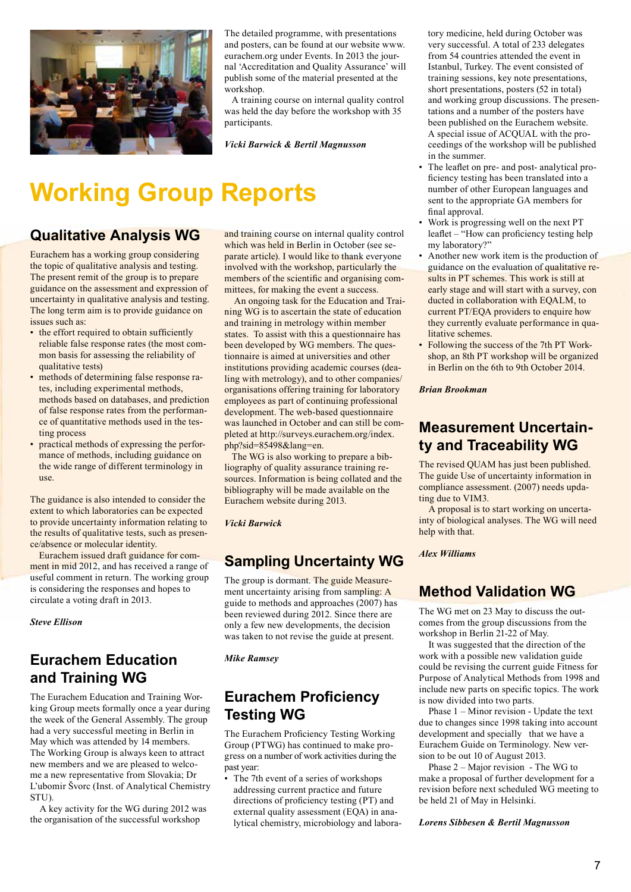

The detailed programme, with presentations and posters, can be found at our website www. eurachem.org under Events. In 2013 the journal 'Accreditation and Quality Assurance' will publish some of the material presented at the workshop.

 A training course on internal quality control was held the day before the workshop with 35 participants.

*Vicki Barwick & Bertil Magnusson*

## **Working Group Reports**

#### **Qualitative Analysis WG**

Eurachem has a working group considering the topic of qualitative analysis and testing. The present remit of the group is to prepare guidance on the assessment and expression of uncertainty in qualitative analysis and testing. The long term aim is to provide guidance on issues such as:

- the effort required to obtain sufficiently reliable false response rates (the most common basis for assessing the reliability of qualitative tests)
- methods of determining false response rates, including experimental methods, methods based on databases, and prediction of false response rates from the performance of quantitative methods used in the testing process
- practical methods of expressing the performance of methods, including guidance on the wide range of different terminology in use.

The guidance is also intended to consider the extent to which laboratories can be expected to provide uncertainty information relating to the results of qualitative tests, such as presence/absence or molecular identity.

Eurachem issued draft guidance for comment in mid 2012, and has received a range of useful comment in return. The working group is considering the responses and hopes to circulate a voting draft in 2013.

*Steve Ellison*

## **Eurachem Education and Training WG**

The Eurachem Education and Training Working Group meets formally once a year during the week of the General Assembly. The group had a very successful meeting in Berlin in May which was attended by 14 members. The Working Group is always keen to attract new members and we are pleased to welcome a new representative from Slovakia; Dr L'ubomir Švorc (Inst. of Analytical Chemistry STU).

 A key activity for the WG during 2012 was the organisation of the successful workshop

and training course on internal quality control which was held in Berlin in October (see separate article). I would like to thank everyone involved with the workshop, particularly the members of the scientific and organising committees, for making the event a success.

 An ongoing task for the Education and Training WG is to ascertain the state of education and training in metrology within member states. To assist with this a questionnaire has been developed by WG members. The questionnaire is aimed at universities and other institutions providing academic courses (dealing with metrology), and to other companies/ organisations offering training for laboratory employees as part of continuing professional development. The web-based questionnaire was launched in October and can still be completed at http://surveys.eurachem.org/index. php?sid=85498&lang=en.

 The WG is also working to prepare a bibliography of quality assurance training resources. Information is being collated and the bibliography will be made available on the Eurachem website during 2013.

#### *Vicki Barwick*

## **Sampling Uncertainty WG**

The group is dormant. The guide Measurement uncertainty arising from sampling: A guide to methods and approaches (2007) has been reviewed during 2012. Since there are only a few new developments, the decision was taken to not revise the guide at present.

*Mike Ramsey*

#### **Eurachem Proficiency Testing WG**

The Eurachem Proficiency Testing Working Group (PTWG) has continued to make progress on a number of work activities during the past year:

• The 7th event of a series of workshops addressing current practice and future directions of proficiency testing (PT) and external quality assessment (EQA) in analytical chemistry, microbiology and labora-

tory medicine, held during October was very successful. A total of 233 delegates from 54 countries attended the event in Istanbul, Turkey. The event consisted of training sessions, key note presentations, short presentations, posters (52 in total) and working group discussions. The presentations and a number of the posters have been published on the Eurachem website. A special issue of ACQUAL with the proceedings of the workshop will be published in the summer.

- The leaflet on pre- and post- analytical pro- ficiency testing has been translated into a number of other European languages and sent to the appropriate GA members for final approval.
- Work is progressing well on the next PT leaflet – "How can proficiency testing help my laboratory?"
- Another new work item is the production of guidance on the evaluation of qualitative results in PT schemes. This work is still at early stage and will start with a survey, con ducted in collaboration with EQALM, to current PT/EQA providers to enquire how they currently evaluate performance in qualitative schemes.
- Following the success of the 7th PT Workshop, an 8th PT workshop will be organized in Berlin on the 6th to 9th October 2014.

*Brian Brookman*

#### **Measurement Uncertainty and Traceability WG**

The revised QUAM has just been published. The guide Use of uncertainty information in compliance assessment. (2007) needs updating due to VIM3.

 A proposal is to start working on uncertainty of biological analyses. The WG will need help with that.

*Alex Williams*

## **Method Validation WG**

The WG met on 23 May to discuss the outcomes from the group discussions from the workshop in Berlin 21-22 of May.

 It was suggested that the direction of the work with a possible new validation guide could be revising the current guide Fitness for Purpose of Analytical Methods from 1998 and include new parts on specific topics. The work is now divided into two parts.

 Phase 1 – Minor revision - Update the text due to changes since 1998 taking into account development and specially that we have a Eurachem Guide on Terminology. New version to be out 10 of August 2013.

 Phase 2 – Major revision - The WG to make a proposal of further development for a revision before next scheduled WG meeting to be held 21 of May in Helsinki.

*Lorens Sibbesen & Bertil Magnusson*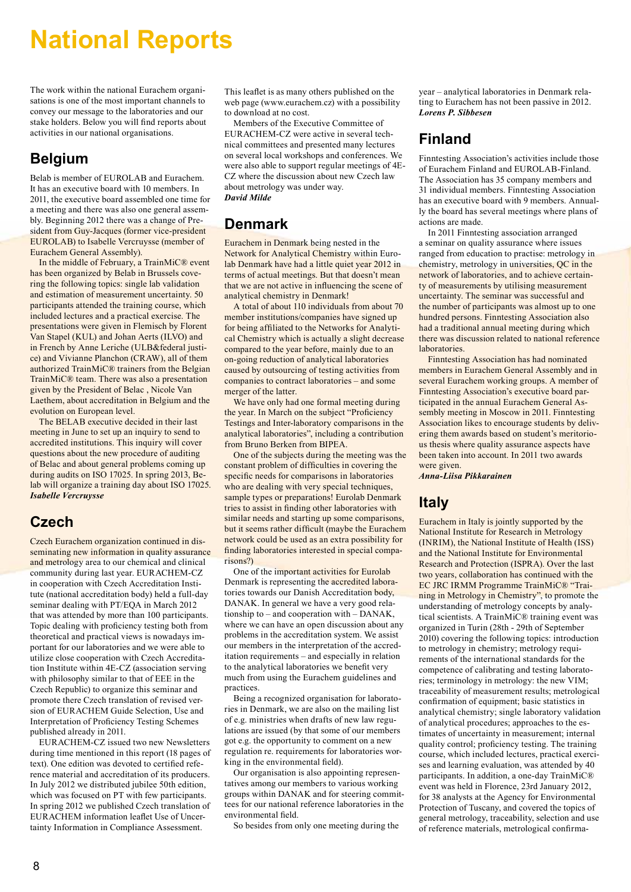## **National Reports**

The work within the national Eurachem organisations is one of the most important channels to convey our message to the laboratories and our stake holders. Below you will find reports about activities in our national organisations.

#### **Belgium**

Belab is member of EUROLAB and Eurachem. It has an executive board with 10 members. In 2011, the executive board assembled one time for a meeting and there was also one general assembly. Beginning 2012 there was a change of President from Guy-Jacques (former vice-president EUROLAB) to Isabelle Vercruysse (member of Eurachem General Assembly).

In the middle of February, a TrainMiC® event has been organized by Belab in Brussels covering the following topics: single lab validation and estimation of measurement uncertainty. 50 participants attended the training course, which included lectures and a practical exercise. The presentations were given in Flemisch by Florent Van Stapel (KUL) and Johan Aerts (ILVO) and in French by Anne Leriche (ULB&federal justice) and Vivianne Planchon (CRAW), all of them authorized TrainMiC® trainers from the Belgian TrainMiC® team. There was also a presentation given by the President of Belac , Nicole Van Laethem, about accreditation in Belgium and the evolution on European level.

The BELAB executive decided in their last meeting in June to set up an inquiry to send to accredited institutions. This inquiry will cover questions about the new procedure of auditing of Belac and about general problems coming up during audits on ISO 17025. In spring 2013, Belab will organize a training day about ISO 17025. *Isabelle Vercruysse*

#### **Czech**

Czech Eurachem organization continued in disseminating new information in quality assurance and metrology area to our chemical and clinical community during last year. EURACHEM-CZ in cooperation with Czech Accreditation Institute (national accreditation body) held a full-day seminar dealing with PT/EQA in March 2012 that was attended by more than 100 participants. Topic dealing with proficiency testing both from theoretical and practical views is nowadays important for our laboratories and we were able to utilize close cooperation with Czech Accreditation Institute within 4E-CZ (association serving with philosophy similar to that of EEE in the Czech Republic) to organize this seminar and promote there Czech translation of revised version of EURACHEM Guide Selection, Use and Interpretation of Proficiency Testing Schemes published already in 2011.

EURACHEM-CZ issued two new Newsletters during time mentioned in this report (18 pages of text). One edition was devoted to certified reference material and accreditation of its producers. In July 2012 we distributed jubilee 50th edition, which was focused on PT with few participants. In spring 2012 we published Czech translation of EURACHEM information leaflet Use of Uncertainty Information in Compliance Assessment.

This leaflet is as many others published on the web page (www.eurachem.cz) with a possibility to download at no cost.

Members of the Executive Committee of EURACHEM-CZ were active in several technical committees and presented many lectures on several local workshops and conferences. We were also able to support regular meetings of 4E-CZ where the discussion about new Czech law about metrology was under way. *David Milde* 

#### **Denmark**

Eurachem in Denmark being nested in the Network for Analytical Chemistry within Eurolab Denmark have had a little quiet year 2012 in terms of actual meetings. But that doesn't mean that we are not active in influencing the scene of analytical chemistry in Denmark!

A total of about 110 individuals from about 70 member institutions/companies have signed up for being affiliated to the Networks for Analytical Chemistry which is actually a slight decrease compared to the year before, mainly due to an on-going reduction of analytical laboratories caused by outsourcing of testing activities from companies to contract laboratories – and some merger of the latter.

We have only had one formal meeting during the year. In March on the subject "Proficiency Testings and Inter-laboratory comparisons in the analytical laboratories", including a contribution from Bruno Berken from BIPEA.

One of the subjects during the meeting was the constant problem of difficulties in covering the specific needs for comparisons in laboratories who are dealing with very special techniques, sample types or preparations! Eurolab Denmark tries to assist in finding other laboratories with similar needs and starting up some comparisons, but it seems rather difficult (maybe the Eurachem network could be used as an extra possibility for finding laboratories interested in special comparisons?)

One of the important activities for Eurolab Denmark is representing the accredited laboratories towards our Danish Accreditation body, DANAK. In general we have a very good relationship to – and cooperation with – DANAK, where we can have an open discussion about any problems in the accreditation system. We assist our members in the interpretation of the accreditation requirements – and especially in relation to the analytical laboratories we benefit very much from using the Eurachem guidelines and practices.

Being a recognized organisation for laboratories in Denmark, we are also on the mailing list of e.g. ministries when drafts of new law regulations are issued (by that some of our members got e.g. the opportunity to comment on a new regulation re. requirements for laboratories working in the environmental field).

Our organisation is also appointing representatives among our members to various working groups within DANAK and for steering committees for our national reference laboratories in the environmental field.

So besides from only one meeting during the

year – analytical laboratories in Denmark relating to Eurachem has not been passive in 2012. *Lorens P. Sibbesen*

#### **Finland**

Finntesting Association's activities include those of Eurachem Finland and EUROLAB-Finland. The Association has 35 company members and 31 individual members. Finntesting Association has an executive board with 9 members. Annually the board has several meetings where plans of actions are made.

In 2011 Finntesting association arranged a seminar on quality assurance where issues ranged from education to practise: metrology in chemistry, metrology in universities, QC in the network of laboratories, and to achieve certainty of measurements by utilising measurement uncertainty. The seminar was successful and the number of participants was almost up to one hundred persons. Finntesting Association also had a traditional annual meeting during which there was discussion related to national reference **laboratories** 

Finntesting Association has had nominated members in Eurachem General Assembly and in several Eurachem working groups. A member of Finntesting Association's executive board participated in the annual Eurachem General Assembly meeting in Moscow in 2011. Finntesting Association likes to encourage students by delivering them awards based on student's meritorious thesis where quality assurance aspects have been taken into account. In 2011 two awards were given.

*Anna-Liisa Pikkarainen*

#### **Italy**

Eurachem in Italy is jointly supported by the National Institute for Research in Metrology (INRIM), the National Institute of Health (ISS) and the National Institute for Environmental Research and Protection (ISPRA). Over the last two years, collaboration has continued with the EC JRC IRMM Programme TrainMiC® "Training in Metrology in Chemistry", to promote the understanding of metrology concepts by analytical scientists. A TrainMiC® training event was organized in Turin (28th - 29th of September 2010) covering the following topics: introduction to metrology in chemistry; metrology requirements of the international standards for the competence of calibrating and testing laboratories; terminology in metrology: the new VIM; traceability of measurement results; metrological confirmation of equipment; basic statistics in analytical chemistry; single laboratory validation of analytical procedures; approaches to the estimates of uncertainty in measurement; internal quality control; proficiency testing. The training course, which included lectures, practical exercises and learning evaluation, was attended by 40 participants. In addition, a one-day TrainMiC® event was held in Florence, 23rd January 2012, for 38 analysts at the Agency for Environmental Protection of Tuscany, and covered the topics of general metrology, traceability, selection and use of reference materials, metrological confirma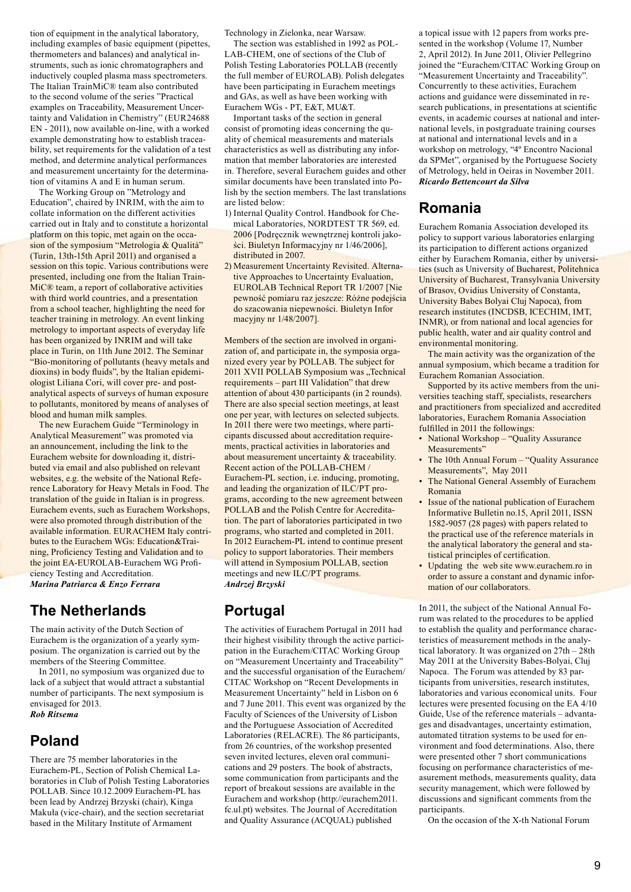tion of equipment in the analytical laboratory, including examples of basic equipment (pipettes, thermometers and balances) and analytical instruments, such as ionic chromatographers and inductively coupled plasma mass spectrometers. The Italian TrainMiC® team also contributed to the second volume of the series "Practical examples on Traceability, Measurement Uncertainty and Validation in Chemistry" (EUR24688 EN - 2011), now available on-line, with a worked example demonstrating how to establish traceability, set requirements for the validation of a test method, and determine analytical performances and measurement uncertainty for the determination of vitamins A and E in human serum.

The Working Group on "Metrology and Education", chaired by INRIM, with the aim to collate information on the different activities carried out in Italy and to constitute a horizontal platform on this topic, met again on the occasion of the symposium "Metrologia & Qualità" (Turin, 13th-15th April 2011) and organised a session on this topic. Various contributions were presented, including one from the Italian Train-MiC® team, a report of collaborative activities with third world countries, and a presentation from a school teacher, highlighting the need for teacher training in metrology. An event linking metrology to important aspects of everyday life has been organized by INRIM and will take place in Turin, on 11th June 2012. The Seminar "Bio-monitoring of pollutants (heavy metals and dioxins) in body fluids", by the Italian epidemiologist Liliana Cori, will cover pre- and postanalytical aspects of surveys of human exposure to pollutants, monitored by means of analyses of blood and human milk samples.

The new Eurachem Guide "Terminology in Analytical Measurement" was promoted via an announcement, including the link to the Eurachem website for downloading it, distributed via email and also published on relevant websites, e.g. the website of the National Reference Laboratory for Heavy Metals in Food. The translation of the guide in Italian is in progress. Eurachem events, such as Eurachem Workshops, were also promoted through distribution of the available information. EURACHEM Italy contributes to the Eurachem WGs: Education&Training, Proficiency Testing and Validation and to the joint EA-EUROLAB-Eurachem WG Proficiency Testing and Accreditation. *Marina Patriarca & Enzo Ferrara*

#### **The Netherlands**

The main activity of the Dutch Section of Eurachem is the organization of a yearly symposium. The organization is carried out by the members of the Steering Committee.

In 2011, no symposium was organized due to lack of a subject that would attract a substantial number of participants. The next symposium is envisaged for 2013. *Rob Ritsema*

#### **Poland**

There are 75 member laboratories in the Eurachem-PL, Section of Polish Chemical Laboratories in Club of Polish Testing Laboratories POLLAB. Since 10.12.2009 Eurachem-PL has been lead by Andrzej Brzyski (chair), Kinga Makuła (vice-chair), and the section secretariat based in the Military Institute of Armament

Technology in Zielonka, near Warsaw.

The section was established in 1992 as POL-LAB-CHEM, one of sections of the Club of Polish Testing Laboratories POLLAB (recently the full member of EUROLAB). Polish delegates have been participating in Eurachem meetings and GAs, as well as have been working with Eurachem WGs - PT, E&T, MU&T.

Important tasks of the section in general consist of promoting ideas concerning the quality of chemical measurements and materials characteristics as well as distributing any information that member laboratories are interested in. Therefore, several Eurachem guides and other similar documents have been translated into Polish by the section members. The last translations are listed below:

- 1) Internal Quality Control. Handbook for Chemical Laboratories, NORDTEST TR 569, ed. 2006 [Podręcznik wewnętrznej kontroli jako- ści. Biuletyn Informacyjny nr 1/46/2006], distributed in 2007.
- 2) Measurement Uncertainty Revisited. Alternative Approaches to Uncertainty Evaluation, EUROLAB Technical Report TR 1/2007 [Nie pewność pomiaru raz jeszcze: Różne podejścia do szacowania niepewności. Biuletyn Infor macyjny nr 1/48/2007].

Members of the section are involved in organization of, and participate in, the symposia organized every year by POLLAB. The subject for 2011 XVII POLLAB Symposium was ..Technical requirements – part III Validation" that drew attention of about 430 participants (in 2 rounds). There are also special section meetings, at least one per year, with lectures on selected subjects. In 2011 there were two meetings, where participants discussed about accreditation requirements, practical activities in laboratories and about measurement uncertainty & traceability. Recent action of the POLLAB-CHEM / Eurachem-PL section, i.e. inducing, promoting, and leading the organization of ILC/PT programs, according to the new agreement between POLLAB and the Polish Centre for Accreditation. The part of laboratories participated in two programs, who started and completed in 2011. In 2012 Eurachem-PL intend to continue present policy to support laboratories. Their members will attend in Symposium POLLAB, section meetings and new ILC/PT programs. *Andrzej Brzyski*

### **Portugal**

The activities of Eurachem Portugal in 2011 had their highest visibility through the active participation in the Eurachem/CITAC Working Group on "Measurement Uncertainty and Traceability" and the successful organisation of the Eurachem/ CITAC Workshop on "Recent Developments in Measurement Uncertainty" held in Lisbon on 6 and 7 June 2011. This event was organized by the Faculty of Sciences of the University of Lisbon and the Portuguese Association of Accredited Laboratories (RELACRE). The 86 participants, from 26 countries, of the workshop presented seven invited lectures, eleven oral communications and 29 posters. The book of abstracts, some communication from participants and the report of breakout sessions are available in the Eurachem and workshop (http://eurachem2011. fc.ul.pt) websites. The Journal of Accreditation and Quality Assurance (ACQUAL) published

a topical issue with 12 papers from works presented in the workshop (Volume 17, Number 2, April 2012). In June 2011, Olivier Pellegrino joined the "Eurachem/CITAC Working Group on "Measurement Uncertainty and Traceability". Concurrently to these activities, Eurachem actions and guidance were disseminated in research publications, in presentations at scientific events, in academic courses at national and international levels, in postgraduate training courses at national and international levels and in a workshop on metrology, "4º Encontro Nacional da SPMet", organised by the Portuguese Society of Metrology, held in Oeiras in November 2011. *Ricardo Bettencourt da Silva*

#### **Romania**

Eurachem Romania Association developed its policy to support various laboratories enlarging its participation to different actions organized either by Eurachem Romania, either by universities (such as University of Bucharest, Politehnica University of Bucharest, Transylvania University of Brasov, Ovidius University of Constanta, University Babes Bolyai Cluj Napoca), from research institutes (INCDSB, ICECHIM, IMT, INMR), or from national and local agencies for public health, water and air quality control and environmental monitoring.

The main activity was the organization of the annual symposium, which became a tradition for Eurachem Romanian Association.

Supported by its active members from the universities teaching staff, specialists, researchers and practitioners from specialized and accredited laboratories, Eurachem Romania Association fulfilled in 2011 the followings:

- National Workshop "Quality Assurance Measurements"
- The 10th Annual Forum "Quality Assurance Measurements", May 2011
- The National General Assembly of Eurachem Romania
- Issue of the national publication of Eurachem Informative Bulletin no.15, April 2011, ISSN 1582-9057 (28 pages) with papers related to the practical use of the reference materials in the analytical laboratory the general and sta- tistical principles of certification.
- Updating the web site www.eurachem.ro in order to assure a constant and dynamic information of our collaborators.

In 2011, the subject of the National Annual Forum was related to the procedures to be applied to establish the quality and performance characteristics of measurement methods in the analytical laboratory. It was organized on 27th – 28th May 2011 at the University Babes-Bolyai, Cluj Napoca. The Forum was attended by 83 participants from universities, research institutes, laboratories and various economical units. Four lectures were presented focusing on the EA 4/10 Guide, Use of the reference materials – advantages and disadvantages, uncertainty estimation, automated titration systems to be used for environment and food determinations. Also, there were presented other 7 short communications focusing on performance characteristics of measurement methods, measurements quality, data security management, which were followed by discussions and significant comments from the participants.

On the occasion of the X-th National Forum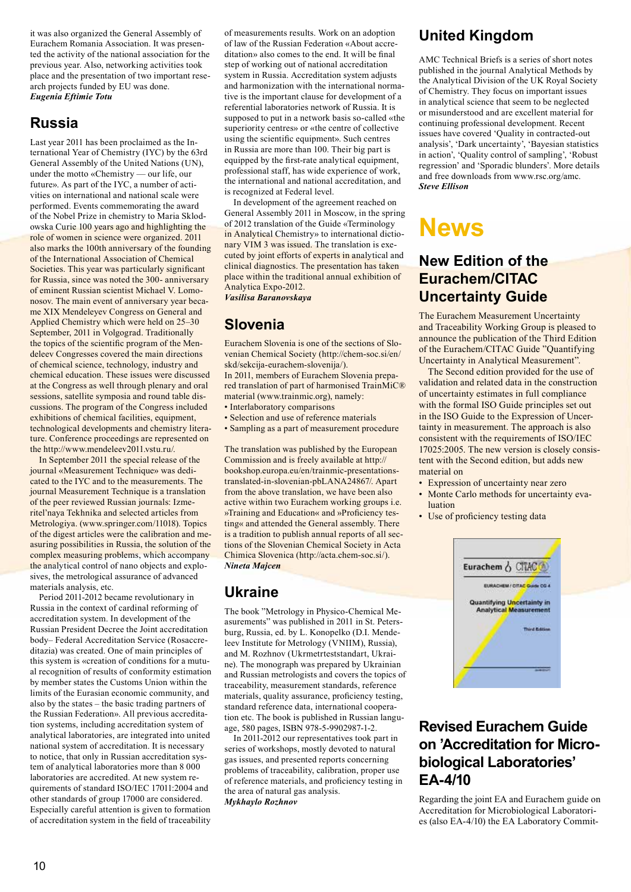it was also organized the General Assembly of Eurachem Romania Association. It was presented the activity of the national association for the previous year. Also, networking activities took place and the presentation of two important research projects funded by EU was done. *Eugenia Eftimie Totu*

#### **Russia**

Last year 2011 has been proclaimed as the International Year of Chemistry (IYC) by the 63rd General Assembly of the United Nations (UN), under the motto «Chemistry — our life, our future». As part of the IYC, a number of activities on international and national scale were performed. Events commemorating the award of the Nobel Prize in chemistry to Maria Sklodowska Curie 100 years ago and highlighting the role of women in science were organized. 2011 also marks the 100th anniversary of the founding of the International Association of Chemical Societies. This year was particularly significant for Russia, since was noted the 300- anniversary of eminent Russian scientist Michael V. Lomonosov. The main event of anniversary year became XIX Mendeleyev Congress on General and Applied Chemistry which were held on 25–30 September, 2011 in Volgograd. Traditionally the topics of the scientific program of the Mendeleev Congresses covered the main directions of chemical science, technology, industry and chemical education. These issues were discussed at the Congress as well through plenary and oral sessions, satellite symposia and round table discussions. The program of the Congress included exhibitions of chemical facilities, equipment, technological developments and chemistry literature. Conference proceedings are represented on the http://www.mendeleev2011.vstu.ru/.

In September 2011 the special release of the journal «Мeasurement Technique» was dedicated to the IYC and to the measurements. The journal Measurement Technique is a translation of the peer reviewed Russian journals: Izmeritel'naya Tekhnika and selected articles from Metrologiya. (www.springer.com/11018). Topics of the digest articles were the calibration and measuring possibilities in Russia, the solution of the complex measuring problems, which accompany the analytical control of nano objects and explosives, the metrological assurance of advanced materials analysis, etc.

Period 2011-2012 became revolutionary in Russia in the context of cardinal reforming of accreditation system. In development of the Russian President Decree the Joint accreditation body– Federal Accreditation Service (Rosaccreditazia) was created. One of main principles of this system is «creation of conditions for a mutual recognition of results of conformity estimation by member states the Customs Union within the limits of the Eurasian economic community, and also by the states – the basic trading partners of the Russian Federation». All previous accreditation systems, including accreditation system of analytical laboratories, are integrated into united national system of accreditation. It is necessary to notice, that only in Russian accreditation system of analytical laboratories more than 8 000 laboratories are accredited. At new system requirements of standard ISO/IEC 17011:2004 and other standards of group 17000 are considered. Especially careful attention is given to formation of accreditation system in the field of traceability

of measurements results. Work on an adoption of law of the Russian Federation «About accreditation» also comes to the end. It will be final step of working out of national accreditation system in Russia. Accreditation system adjusts and harmonization with the international normative is the important clause for development of a referential laboratories network of Russia. It is supposed to put in a network basis so-called «the superiority centres» or «the centre of collective using the scientific equipment». Such centres in Russia are more than 100. Their big part is equipped by the first-rate analytical equipment, professional staff, has wide experience of work, the international and national accreditation, and is recognized at Federal level.

In development of the agreement reached on General Assembly 2011 in Moscow, in the spring of 2012 translation of the Guide «Terminology in Analytical Chemistry» to international dictionary VIM 3 was issued. The translation is executed by joint efforts of experts in analytical and clinical diagnostics. The presentation has taken place within the traditional annual exhibition of Analytica Expo-2012.

*Vasilisa Baranovskaya*

## **Slovenia**

Eurachem Slovenia is one of the sections of Slovenian Chemical Society (http://chem-soc.si/en/ skd/sekcija-eurachem-slovenija/). In 2011, members of Eurachem Slovenia prepared translation of part of harmonised TrainMiC®

- material (www.trainmic.org), namely: • Interlaboratory comparisons
- Selection and use of reference materials
- Sampling as a part of measurement procedure

The translation was published by the European Commission and is freely available at http:// bookshop.europa.eu/en/trainmic-presentationstranslated-in-slovenian-pbLANA24867/. Apart from the above translation, we have been also active within two Eurachem working groups i.e. »Training and Education« and »Proficiency testing« and attended the General assembly. There is a tradition to publish annual reports of all sections of the Slovenian Chemical Society in Acta Chimica Slovenica (http://acta.chem-soc.si/). *Nineta Majcen* 

#### **Ukraine**

The book "Metrology in Physico-Chemical Measurements" was published in 2011 in St. Petersburg, Russia, ed. by L. Konopelko (D.I. Mendeleev Institute for Metrology (VNIIM), Russia), and M. Rozhnov (Ukrmetrteststandart, Ukraine). The monograph was prepared by Ukrainian and Russian metrologists and covers the topics of traceability, measurement standards, reference materials, quality assurance, proficiency testing, standard reference data, international cooperation etc. The book is published in Russian language, 580 pages, ISBN 978-5-9902987-1-2.

In 2011-2012 our representatives took part in series of workshops, mostly devoted to natural gas issues, and presented reports concerning problems of traceability, calibration, proper use of reference materials, and proficiency testing in the area of natural gas analysis. *Mykhaylo Rozhnov*

## **United Kingdom**

AMC Technical Briefs is a series of short notes published in the journal Analytical Methods by the Analytical Division of the UK Royal Society of Chemistry. They focus on important issues in analytical science that seem to be neglected or misunderstood and are excellent material for continuing professional development. Recent issues have covered 'Quality in contracted-out analysis', 'Dark uncertainty', 'Bayesian statistics in action', 'Quality control of sampling', 'Robust regression' and 'Sporadic blunders'. More details and free downloads from www.rsc.org/amc. *Steve Ellison*

## **News**

### **New Edition of the Eurachem/CITAC Uncertainty Guide**

The Eurachem Measurement Uncertainty and Traceability Working Group is pleased to announce the publication of the Third Edition of the Eurachem/CITAC Guide "Quantifying Uncertainty in Analytical Measurement".

The Second edition provided for the use of validation and related data in the construction of uncertainty estimates in full compliance with the formal ISO Guide principles set out in the ISO Guide to the Expression of Uncertainty in measurement. The approach is also consistent with the requirements of ISO/IEC 17025:2005. The new version is closely consistent with the Second edition, but adds new material on

- Expression of uncertainty near zero
- Monte Carlo methods for uncertainty evaluation
- Use of proficiency testing data



#### **Revised Eurachem Guide on 'Accreditation for Microbiological Laboratories' EA-4/10**

Regarding the joint EA and Eurachem guide on Accreditation for Microbiological Laboratories (also EA-4/10) the EA Laboratory Commit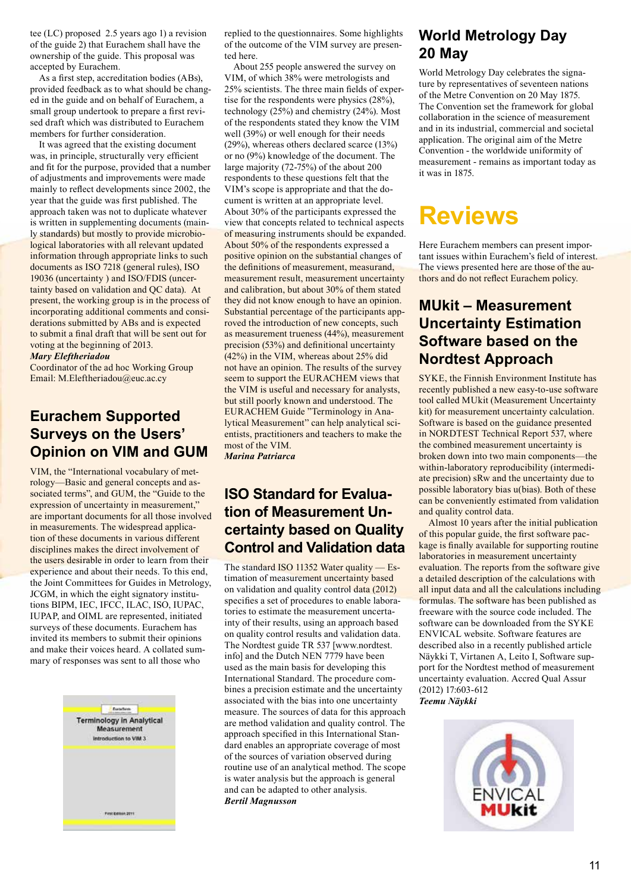tee (LC) proposed 2.5 years ago 1) a revision of the guide 2) that Eurachem shall have the ownership of the guide. This proposal was accepted by Eurachem.

 As a first step, accreditation bodies (ABs), provided feedback as to what should be changed in the guide and on behalf of Eurachem, a small group undertook to prepare a first revised draft which was distributed to Eurachem members for further consideration.

It was agreed that the existing document was, in principle, structurally very efficient and fit for the purpose, provided that a number of adjustments and improvements were made mainly to reflect developments since 2002, the year that the guide was first published. The approach taken was not to duplicate whatever is written in supplementing documents (mainly standards) but mostly to provide microbiological laboratories with all relevant updated information through appropriate links to such documents as ISO 7218 (general rules), ISO 19036 (uncertainty ) and ISO/FDIS (uncertainty based on validation and QC data). At present, the working group is in the process of incorporating additional comments and considerations submitted by ABs and is expected to submit a final draft that will be sent out for voting at the beginning of 2013.

#### *Mary Eleftheriadou*

Coordinator of the ad hoc Working Group Email: M.Eleftheriadou@euc.ac.cy

#### **Eurachem Supported Surveys on the Users' Opinion on VIM and GUM**

VIM, the "International vocabulary of metrology—Basic and general concepts and associated terms", and GUM, the "Guide to the expression of uncertainty in measurement," are important documents for all those involved in measurements. The widespread application of these documents in various different disciplines makes the direct involvement of the users desirable in order to learn from their experience and about their needs. To this end, the Joint Committees for Guides in Metrology, JCGM, in which the eight signatory institutions BIPM, IEC, IFCC, ILAC, ISO, IUPAC, IUPAP, and OIML are represented, initiated surveys of these documents. Eurachem has invited its members to submit their opinions and make their voices heard. A collated summary of responses was sent to all those who



replied to the questionnaires. Some highlights of the outcome of the VIM survey are presented here.

About 255 people answered the survey on VIM, of which 38% were metrologists and 25% scientists. The three main fields of expertise for the respondents were physics (28%), technology (25%) and chemistry (24%). Most of the respondents stated they know the VIM well (39%) or well enough for their needs (29%), whereas others declared scarce (13%) or no (9%) knowledge of the document. The large majority (72-75%) of the about 200 respondents to these questions felt that the VIM's scope is appropriate and that the document is written at an appropriate level. About 30% of the participants expressed the view that concepts related to technical aspects of measuring instruments should be expanded. About 50% of the respondents expressed a positive opinion on the substantial changes of the definitions of measurement, measurand, measurement result, measurement uncertainty and calibration, but about 30% of them stated they did not know enough to have an opinion. Substantial percentage of the participants approved the introduction of new concepts, such as measurement trueness (44%), measurement precision (53%) and definitional uncertainty (42%) in the VIM, whereas about 25% did not have an opinion. The results of the survey seem to support the EURACHEM views that the VIM is useful and necessary for analysts, but still poorly known and understood. The EURACHEM Guide "Terminology in Analytical Measurement" can help analytical scientists, practitioners and teachers to make the most of the VIM.

*Marina Patriarca* 

#### **ISO Standard for Evaluation of Measurement Uncertainty based on Quality Control and Validation data**

The standard ISO 11352 Water quality — Estimation of measurement uncertainty based on validation and quality control data (2012) specifies a set of procedures to enable laboratories to estimate the measurement uncertainty of their results, using an approach based on quality control results and validation data. The Nordtest guide TR 537 [www.nordtest. info] and the Dutch NEN 7779 have been used as the main basis for developing this International Standard. The procedure combines a precision estimate and the uncertainty associated with the bias into one uncertainty measure. The sources of data for this approach are method validation and quality control. The approach specified in this International Standard enables an appropriate coverage of most of the sources of variation observed during routine use of an analytical method. The scope is water analysis but the approach is general and can be adapted to other analysis. *Bertil Magnusson*

#### **World Metrology Day 20 May**

World Metrology Day celebrates the signature by representatives of seventeen nations of the Metre Convention on 20 May 1875. The Convention set the framework for global collaboration in the science of measurement and in its industrial, commercial and societal application. The original aim of the Metre Convention - the worldwide uniformity of measurement - remains as important today as it was in 1875.

## **Reviews**

Here Eurachem members can present important issues within Eurachem's field of interest. The views presented here are those of the authors and do not reflect Eurachem policy.

#### **MUkit – Measurement Uncertainty Estimation Software based on the Nordtest Approach**

SYKE, the Finnish Environment Institute has recently published a new easy-to-use software tool called MUkit (Measurement Uncertainty kit) for measurement uncertainty calculation. Software is based on the guidance presented in NORDTEST Technical Report 537, where the combined measurement uncertainty is broken down into two main components—the within-laboratory reproducibility (intermediate precision) sRw and the uncertainty due to possible laboratory bias u(bias). Both of these can be conveniently estimated from validation and quality control data.

 Almost 10 years after the initial publication of this popular guide, the first software package is finally available for supporting routine laboratories in measurement uncertainty evaluation. The reports from the software give a detailed description of the calculations with all input data and all the calculations including formulas. The software has been published as freeware with the source code included. The software can be downloaded from the SYKE ENVICAL website. Software features are described also in a recently published article Näykki T, Virtanen A, Leito I, Software support for the Nordtest method of measurement uncertainty evaluation. Accred Qual Assur (2012) 17:603-612

*Teemu Näykki*